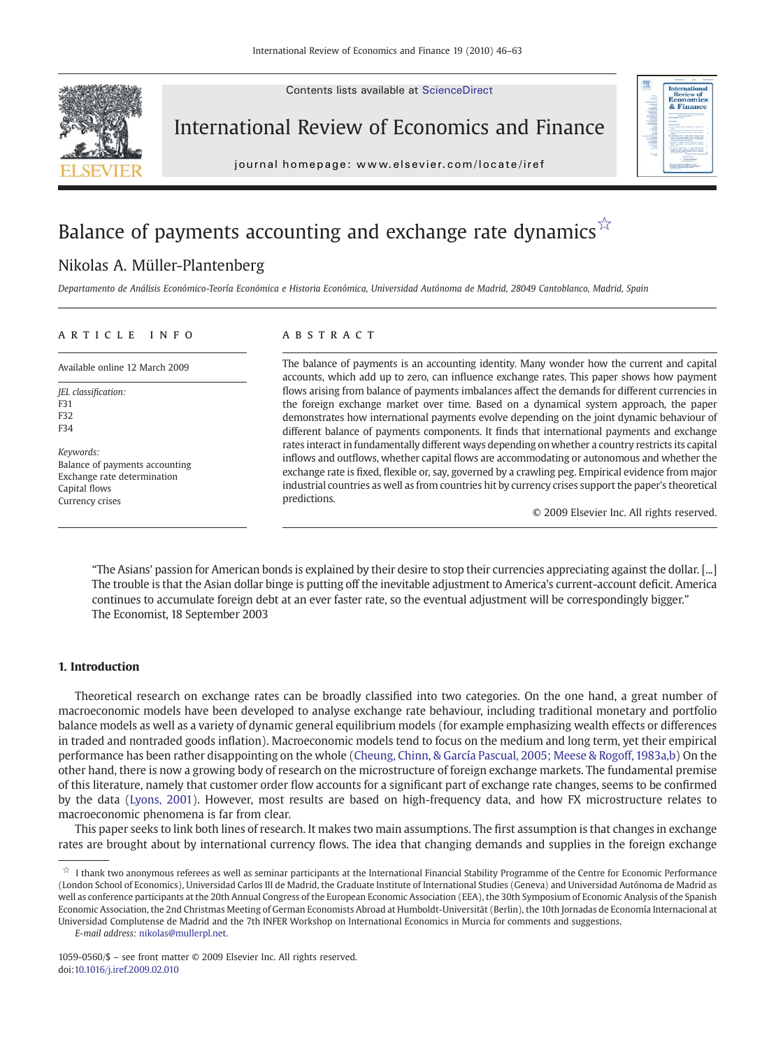

Contents lists available at ScienceDirect

## International Review of Economics and Finance

j o u r n a l h om e p a g e  $\alpha$  ev i e r. c om  $\alpha$  t e  $\alpha$  t e  $\alpha$  i r e  $\alpha$  t e  $\alpha$  t e  $\alpha$ 



# Balance of payments accounting and exchange rate dynamics  $\overleftrightarrow{ }$

### Nikolas A. Müller-Plantenberg

Departamento de Análisis Económico-Teoría Económica e Historia Económica, Universidad Autónoma de Madrid, 28049 Cantoblanco, Madrid, Spain

#### article info abstract

JEL classification: F31 F32 F34

Keywords: Balance of payments accounting Exchange rate determination Capital flows Currency crises

Available online 12 March 2009 The balance of payments is an accounting identity. Many wonder how the current and capital accounts, which add up to zero, can influence exchange rates. This paper shows how payment flows arising from balance of payments imbalances affect the demands for different currencies in the foreign exchange market over time. Based on a dynamical system approach, the paper demonstrates how international payments evolve depending on the joint dynamic behaviour of different balance of payments components. It finds that international payments and exchange rates interact in fundamentally different ways depending on whether a country restricts its capital inflows and outflows, whether capital flows are accommodating or autonomous and whether the exchange rate is fixed, flexible or, say, governed by a crawling peg. Empirical evidence from major industrial countries as well as from countries hit by currency crises support the paper's theoretical predictions.

© 2009 Elsevier Inc. All rights reserved.

"The Asians' passion for American bonds is explained by their desire to stop their currencies appreciating against the dollar. [...] The trouble is that the Asian dollar binge is putting off the inevitable adjustment to America's current-account deficit. America continues to accumulate foreign debt at an ever faster rate, so the eventual adjustment will be correspondingly bigger." The Economist, 18 September 2003

#### 1. Introduction

Theoretical research on exchange rates can be broadly classified into two categories. On the one hand, a great number of macroeconomic models have been developed to analyse exchange rate behaviour, including traditional monetary and portfolio balance models as well as a variety of dynamic general equilibrium models (for example emphasizing wealth effects or differences in traded and nontraded goods inflation). Macroeconomic models tend to focus on the medium and long term, yet their empirical performance has been rather disappointing on the whole ([Cheung, Chinn, & García Pascual, 2005; Meese & Rogoff, 1983a,b](#page--1-0)) On the other hand, there is now a growing body of research on the microstructure of foreign exchange markets. The fundamental premise of this literature, namely that customer order flow accounts for a significant part of exchange rate changes, seems to be confirmed by the data ([Lyons, 2001](#page--1-0)). However, most results are based on high-frequency data, and how FX microstructure relates to macroeconomic phenomena is far from clear.

This paper seeks to link both lines of research. It makes two main assumptions. The first assumption is that changes in exchange rates are brought about by international currency flows. The idea that changing demands and supplies in the foreign exchange

<sup>☆</sup> I thank two anonymous referees as well as seminar participants at the International Financial Stability Programme of the Centre for Economic Performance (London School of Economics), Universidad Carlos III de Madrid, the Graduate Institute of International Studies (Geneva) and Universidad Autónoma de Madrid as well as conference participants at the 20th Annual Congress of the European Economic Association (EEA), the 30th Symposium of Economic Analysis of the Spanish Economic Association, the 2nd Christmas Meeting of German Economists Abroad at Humboldt-Universität (Berlin), the 10th Jornadas de Economía Internacional at Universidad Complutense de Madrid and the 7th INFER Workshop on International Economics in Murcia for comments and suggestions.

E-mail address: [nikolas@mullerpl.net](mailto:nikolas@mullerpl.net).

<sup>1059-0560/\$</sup> – see front matter © 2009 Elsevier Inc. All rights reserved. doi:[10.1016/j.iref.2009.02.010](http://dx.doi.org/10.1016/j.iref.2009.02.010)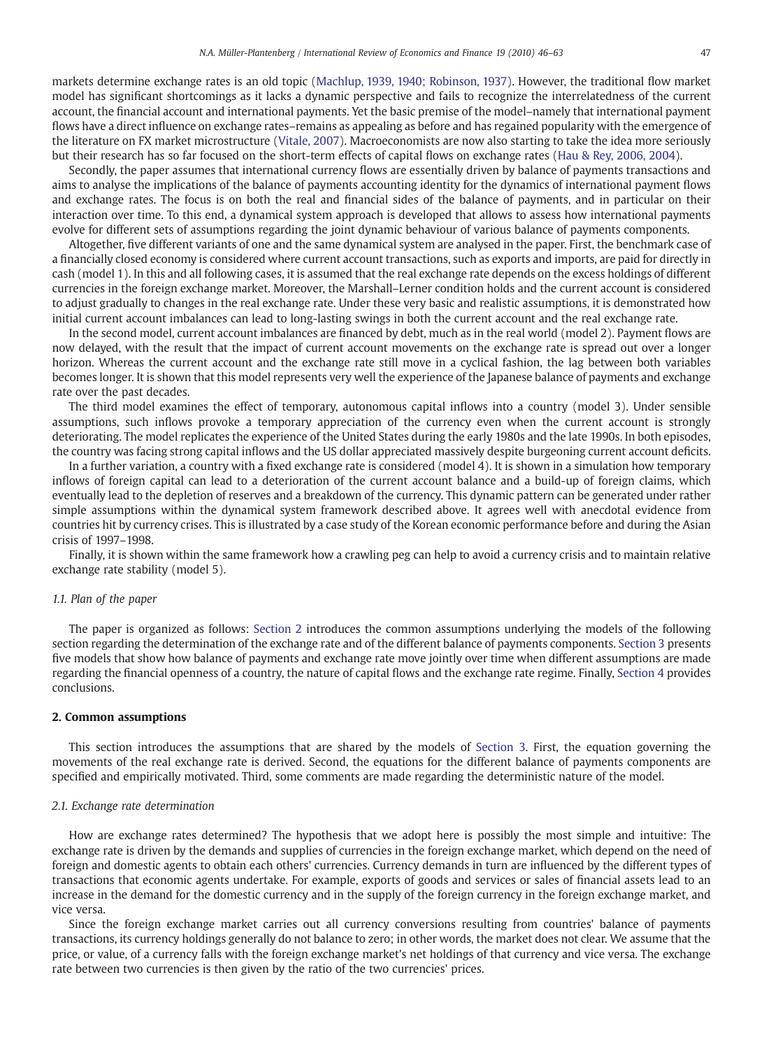markets determine exchange rates is an old topic ([Machlup, 1939, 1940; Robinson, 1937\)](#page--1-0). However, the traditional flow market model has significant shortcomings as it lacks a dynamic perspective and fails to recognize the interrelatedness of the current account, the financial account and international payments. Yet the basic premise of the model–namely that international payment flows have a direct influence on exchange rates–remains as appealing as before and has regained popularity with the emergence of the literature on FX market microstructure ([Vitale, 2007](#page--1-0)). Macroeconomists are now also starting to take the idea more seriously but their research has so far focused on the short-term effects of capital flows on exchange rates ([Hau & Rey, 2006, 2004\)](#page--1-0).

Secondly, the paper assumes that international currency flows are essentially driven by balance of payments transactions and aims to analyse the implications of the balance of payments accounting identity for the dynamics of international payment flows and exchange rates. The focus is on both the real and financial sides of the balance of payments, and in particular on their interaction over time. To this end, a dynamical system approach is developed that allows to assess how international payments evolve for different sets of assumptions regarding the joint dynamic behaviour of various balance of payments components.

Altogether, five different variants of one and the same dynamical system are analysed in the paper. First, the benchmark case of a financially closed economy is considered where current account transactions, such as exports and imports, are paid for directly in cash (model 1). In this and all following cases, it is assumed that the real exchange rate depends on the excess holdings of different currencies in the foreign exchange market. Moreover, the Marshall–Lerner condition holds and the current account is considered to adjust gradually to changes in the real exchange rate. Under these very basic and realistic assumptions, it is demonstrated how initial current account imbalances can lead to long-lasting swings in both the current account and the real exchange rate.

In the second model, current account imbalances are financed by debt, much as in the real world (model 2). Payment flows are now delayed, with the result that the impact of current account movements on the exchange rate is spread out over a longer horizon. Whereas the current account and the exchange rate still move in a cyclical fashion, the lag between both variables becomes longer. It is shown that this model represents very well the experience of the Japanese balance of payments and exchange rate over the past decades.

The third model examines the effect of temporary, autonomous capital inflows into a country (model 3). Under sensible assumptions, such inflows provoke a temporary appreciation of the currency even when the current account is strongly deteriorating. The model replicates the experience of the United States during the early 1980s and the late 1990s. In both episodes, the country was facing strong capital inflows and the US dollar appreciated massively despite burgeoning current account deficits.

In a further variation, a country with a fixed exchange rate is considered (model 4). It is shown in a simulation how temporary inflows of foreign capital can lead to a deterioration of the current account balance and a build-up of foreign claims, which eventually lead to the depletion of reserves and a breakdown of the currency. This dynamic pattern can be generated under rather simple assumptions within the dynamical system framework described above. It agrees well with anecdotal evidence from countries hit by currency crises. This is illustrated by a case study of the Korean economic performance before and during the Asian crisis of 1997–1998.

Finally, it is shown within the same framework how a crawling peg can help to avoid a currency crisis and to maintain relative exchange rate stability (model 5).

#### 1.1. Plan of the paper

The paper is organized as follows: Section 2 introduces the common assumptions underlying the models of the following section regarding the determination of the exchange rate and of the different balance of payments components. [Section 3](#page--1-0) presents five models that show how balance of payments and exchange rate move jointly over time when different assumptions are made regarding the financial openness of a country, the nature of capital flows and the exchange rate regime. Finally, [Section 4](#page--1-0) provides conclusions.

#### 2. Common assumptions

This section introduces the assumptions that are shared by the models of [Section 3.](#page--1-0) First, the equation governing the movements of the real exchange rate is derived. Second, the equations for the different balance of payments components are specified and empirically motivated. Third, some comments are made regarding the deterministic nature of the model.

#### 2.1. Exchange rate determination

How are exchange rates determined? The hypothesis that we adopt here is possibly the most simple and intuitive: The exchange rate is driven by the demands and supplies of currencies in the foreign exchange market, which depend on the need of foreign and domestic agents to obtain each others' currencies. Currency demands in turn are influenced by the different types of transactions that economic agents undertake. For example, exports of goods and services or sales of financial assets lead to an increase in the demand for the domestic currency and in the supply of the foreign currency in the foreign exchange market, and vice versa.

Since the foreign exchange market carries out all currency conversions resulting from countries' balance of payments transactions, its currency holdings generally do not balance to zero; in other words, the market does not clear. We assume that the price, or value, of a currency falls with the foreign exchange market's net holdings of that currency and vice versa. The exchange rate between two currencies is then given by the ratio of the two currencies' prices.